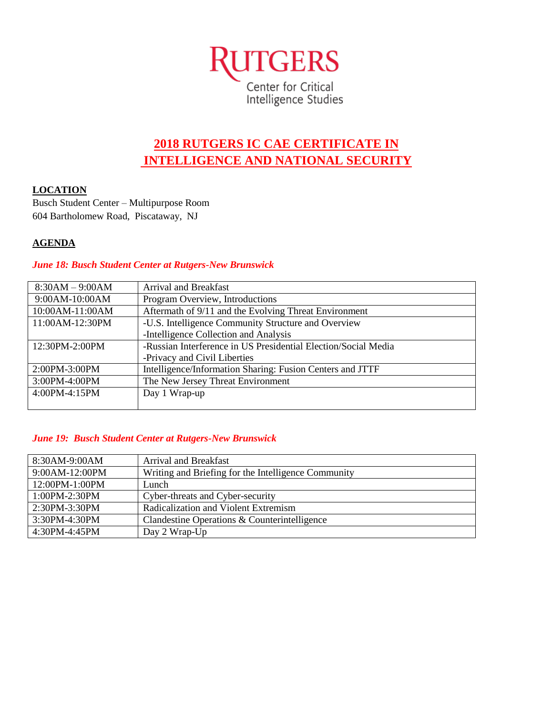

# **2018 RUTGERS IC CAE CERTIFICATE IN INTELLIGENCE AND NATIONAL SECURITY**

### **LOCATION**

Busch Student Center – Multipurpose Room 604 Bartholomew Road, Piscataway, NJ

## **AGENDA**

#### *June 18: Busch Student Center at Rutgers-New Brunswick*

| $8:30AM - 9:00AM$ | <b>Arrival and Breakfast</b>                                   |
|-------------------|----------------------------------------------------------------|
| 9:00AM-10:00AM    | Program Overview, Introductions                                |
| 10:00AM-11:00AM   | Aftermath of 9/11 and the Evolving Threat Environment          |
| 11:00AM-12:30PM   | -U.S. Intelligence Community Structure and Overview            |
|                   | -Intelligence Collection and Analysis                          |
| 12:30PM-2:00PM    | -Russian Interference in US Presidential Election/Social Media |
|                   | -Privacy and Civil Liberties                                   |
| 2:00PM-3:00PM     | Intelligence/Information Sharing: Fusion Centers and JTTF      |
| 3:00PM-4:00PM     | The New Jersey Threat Environment                              |
| 4:00PM-4:15PM     | Day 1 Wrap-up                                                  |
|                   |                                                                |

#### *June 19: Busch Student Center at Rutgers-New Brunswick*

| 8:30AM-9:00AM     | Arrival and Breakfast                               |
|-------------------|-----------------------------------------------------|
| 9:00AM-12:00PM    | Writing and Briefing for the Intelligence Community |
| 12:00PM-1:00PM    | Lunch                                               |
| $1:00PM - 2:30PM$ | Cyber-threats and Cyber-security                    |
| $2:30PM - 3:30PM$ | Radicalization and Violent Extremism                |
| 3:30PM-4:30PM     | Clandestine Operations & Counterintelligence        |
| $4:30PM - 4:45PM$ | Day 2 Wrap-Up                                       |